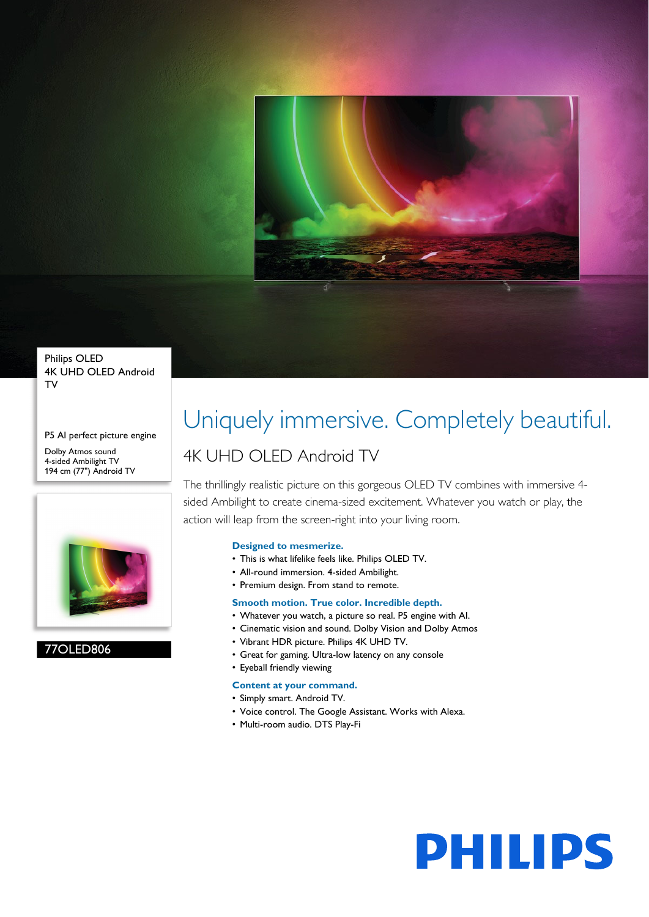

Philips OLED 4K UHD OLED Android TV

P5 AI perfect picture engine Dolby Atmos sound 4-sided Ambilight TV 194 cm (77") Android TV



77OLED806

# Uniquely immersive. Completely beautiful.

### 4K UHD OLED Android TV

The thrillingly realistic picture on this gorgeous OLED TV combines with immersive 4 sided Ambilight to create cinema-sized excitement. Whatever you watch or play, the action will leap from the screen-right into your living room.

#### **Designed to mesmerize.**

- This is what lifelike feels like. Philips OLED TV.
- All-round immersion. 4-sided Ambilight.
- Premium design. From stand to remote.

#### **Smooth motion. True color. Incredible depth.**

- Whatever you watch, a picture so real. P5 engine with AI.
- Cinematic vision and sound. Dolby Vision and Dolby Atmos
- Vibrant HDR picture. Philips 4K UHD TV.
- Great for gaming. Ultra-low latency on any console

#### • Eyeball friendly viewing

- **Content at your command.**
- Simply smart. Android TV.
- Voice control. The Google Assistant. Works with Alexa.
- Multi-room audio. DTS Play-Fi

# **PHILIPS**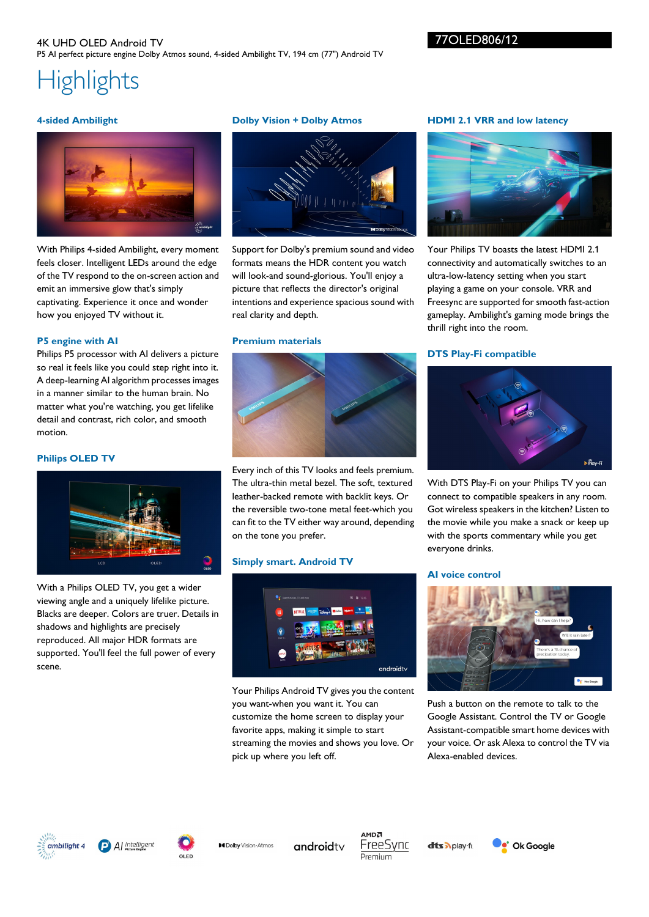#### 4K UHD OLED Android TV P5 AI perfect picture engine Dolby Atmos sound, 4-sided Ambilight TV, 194 cm (77") Android TV

#### 77OLED806/12

## **Highlights**

#### **4-sided Ambilight**



With Philips 4-sided Ambilight, every moment feels closer. Intelligent LEDs around the edge of the TV respond to the on-screen action and emit an immersive glow that's simply captivating. Experience it once and wonder how you enjoyed TV without it.

#### **P5 engine with AI**

Philips P5 processor with AI delivers a picture so real it feels like you could step right into it. A deep-learning AI algorithm processes images in a manner similar to the human brain. No matter what you're watching, you get lifelike detail and contrast, rich color, and smooth motion.

#### **Philips OLED TV**



With a Philips OLED TV, you get a wider viewing angle and a uniquely lifelike picture. Blacks are deeper. Colors are truer. Details in shadows and highlights are precisely reproduced. All major HDR formats are supported. You'll feel the full power of every scene.

#### **Dolby Vision + Dolby Atmos**



Support for Dolby's premium sound and video formats means the HDR content you watch will look-and sound-glorious. You'll enjoy a picture that reflects the director's original intentions and experience spacious sound with real clarity and depth.

#### **Premium materials**



Every inch of this TV looks and feels premium. The ultra-thin metal bezel. The soft, textured leather-backed remote with backlit keys. Or the reversible two-tone metal feet-which you can fit to the TV either way around, depending on the tone you prefer.

#### **Simply smart. Android TV**



Your Philips Android TV gives you the content you want-when you want it. You can customize the home screen to display your favorite apps, making it simple to start streaming the movies and shows you love. Or pick up where you left off.

#### **HDMI 2.1 VRR and low latency**



Your Philips TV boasts the latest HDMI 2.1 connectivity and automatically switches to an ultra-low-latency setting when you start playing a game on your console. VRR and Freesync are supported for smooth fast-action gameplay. Ambilight's gaming mode brings the thrill right into the room.

#### **DTS Play-Fi compatible**



With DTS Play-Fi on your Philips TV you can connect to compatible speakers in any room. Got wireless speakers in the kitchen? Listen to the movie while you make a snack or keep up with the sports commentary while you get everyone drinks.

#### **AI voice control**



Push a button on the remote to talk to the Google Assistant. Control the TV or Google Assistant-compatible smart home devices with your voice. Or ask Alexa to control the TV via Alexa-enabled devices.







**MDolby** Vision Atmos androidty

MDA FreeSync Premium

**dts** Aplay-fr.